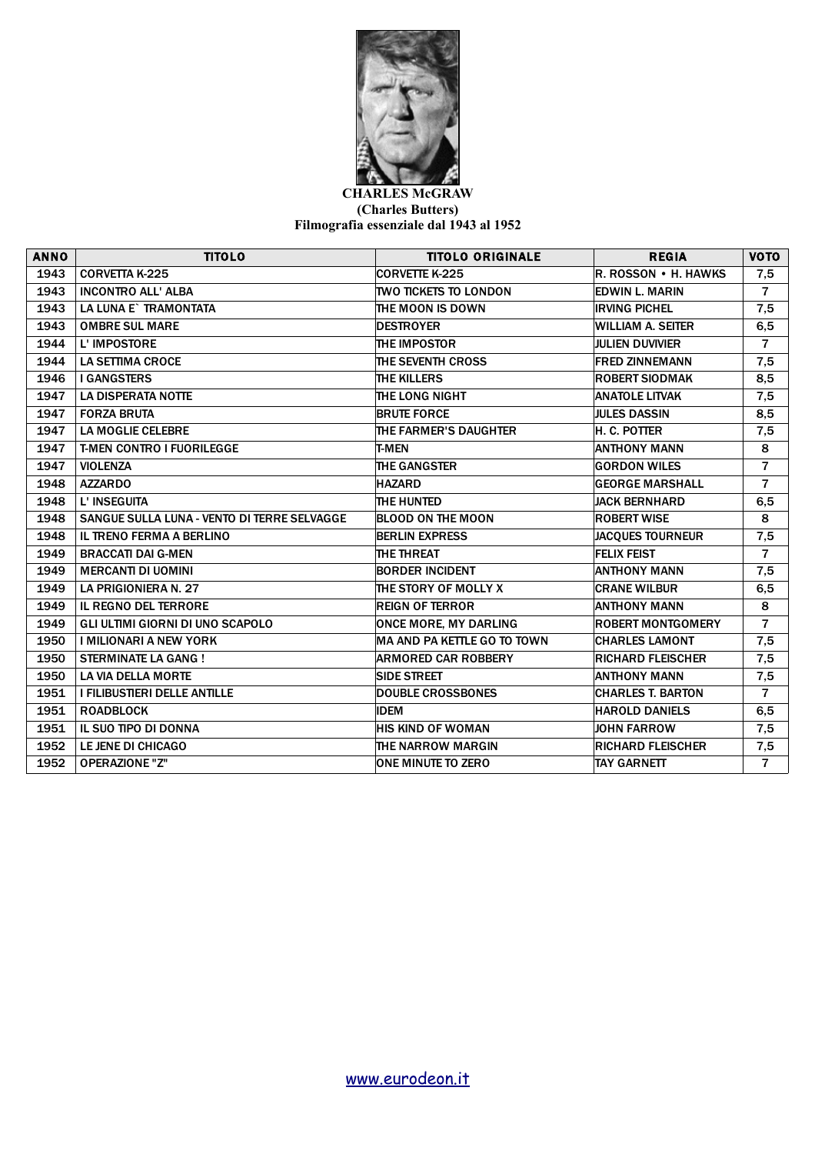

## **CHARLES McGRAW (Charles Butters) Filmografia essenziale dal 1943 al 1952**

| <b>ANNO</b> | <b>TITOLO</b>                               | <b>TITOLO ORIGINALE</b>      | <b>REGIA</b>             | <b>VOTO</b>    |
|-------------|---------------------------------------------|------------------------------|--------------------------|----------------|
| 1943        | <b>CORVETTA K-225</b>                       | CORVETTE K-225               | R. ROSSON • H. HAWKS     | 7,5            |
| 1943        | <b>INCONTRO ALL' ALBA</b>                   | <b>TWO TICKETS TO LONDON</b> | <b>EDWIN L. MARIN</b>    | $\overline{7}$ |
| 1943        | LA LUNA E` TRAMONTATA                       | THE MOON IS DOWN             | <b>IRVING PICHEL</b>     | 7,5            |
| 1943        | <b>OMBRE SUL MARE</b>                       | <b>DESTROYER</b>             | WILLIAM A. SEITER        | 6, 5           |
| 1944        | L' IMPOSTORE                                | THE IMPOSTOR                 | <b>JULIEN DUVIVIER</b>   | $\overline{7}$ |
| 1944        | <b>LA SETTIMA CROCE</b>                     | THE SEVENTH CROSS            | <b>FRED ZINNEMANN</b>    | 7,5            |
| 1946        | <b>I GANGSTERS</b>                          | THE KILLERS                  | <b>ROBERT SIODMAK</b>    | 8,5            |
| 1947        | <b>LA DISPERATA NOTTE</b>                   | THE LONG NIGHT               | <b>ANATOLE LITVAK</b>    | 7,5            |
| 1947        | <b>FORZA BRUTA</b>                          | <b>BRUTE FORCE</b>           | <b>JULES DASSIN</b>      | 8,5            |
| 1947        | <b>LA MOGLIE CELEBRE</b>                    | THE FARMER'S DAUGHTER        | H. C. POTTER             | 7,5            |
| 1947        | <b>T-MEN CONTRO I FUORILEGGE</b>            | <b>T-MEN</b>                 | <b>ANTHONY MANN</b>      | 8              |
| 1947        | <b>VIOLENZA</b>                             | <b>THE GANGSTER</b>          | <b>GORDON WILES</b>      | $\overline{7}$ |
| 1948        | <b>AZZARDO</b>                              | <b>HAZARD</b>                | <b>GEORGE MARSHALL</b>   | $\overline{7}$ |
| 1948        | L' INSEGUITA                                | THE HUNTED                   | <b>JACK BERNHARD</b>     | 6,5            |
| 1948        | SANGUE SULLA LUNA - VENTO DI TERRE SELVAGGE | <b>BLOOD ON THE MOON</b>     | <b>ROBERT WISE</b>       | 8              |
| 1948        | <b>IL TRENO FERMA A BERLINO</b>             | <b>BERLIN EXPRESS</b>        | <b>JACQUES TOURNEUR</b>  | 7,5            |
| 1949        | <b>BRACCATI DAI G-MEN</b>                   | THE THREAT                   | <b>FELIX FEIST</b>       | $\overline{7}$ |
| 1949        | <b>MERCANTI DI UOMINI</b>                   | <b>BORDER INCIDENT</b>       | <b>ANTHONY MANN</b>      | 7,5            |
| 1949        | <b>LA PRIGIONIERA N. 27</b>                 | THE STORY OF MOLLY X         | <b>CRANE WILBUR</b>      | 6,5            |
| 1949        | <b>IL REGNO DEL TERRORE</b>                 | <b>REIGN OF TERROR</b>       | <b>ANTHONY MANN</b>      | 8              |
| 1949        | GLI ULTIMI GIORNI DI UNO SCAPOLO            | <b>ONCE MORE, MY DARLING</b> | <b>ROBERT MONTGOMERY</b> | $\overline{7}$ |
| 1950        | <b>I MILIONARI A NEW YORK</b>               | MA AND PA KETTLE GO TO TOWN  | <b>CHARLES LAMONT</b>    | 7,5            |
| 1950        | <b>STERMINATE LA GANG!</b>                  | <b>ARMORED CAR ROBBERY</b>   | <b>RICHARD FLEISCHER</b> | 7,5            |
| 1950        | <b>LA VIA DELLA MORTE</b>                   | <b>SIDE STREET</b>           | <b>ANTHONY MANN</b>      | 7,5            |
| 1951        | I FILIBUSTIERI DELLE ANTILLE                | <b>DOUBLE CROSSBONES</b>     | <b>CHARLES T. BARTON</b> | $\overline{7}$ |
| 1951        | <b>ROADBLOCK</b>                            | <b>IDEM</b>                  | <b>HAROLD DANIELS</b>    | 6, 5           |
| 1951        | IL SUO TIPO DI DONNA                        | <b>HIS KIND OF WOMAN</b>     | <b>JOHN FARROW</b>       | 7,5            |
| 1952        | LE JENE DI CHICAGO                          | THE NARROW MARGIN            | <b>RICHARD FLEISCHER</b> | 7,5            |
| 1952        | <b>OPERAZIONE "Z"</b>                       | <b>ONE MINUTE TO ZERO</b>    | <b>TAY GARNETT</b>       | $\overline{7}$ |